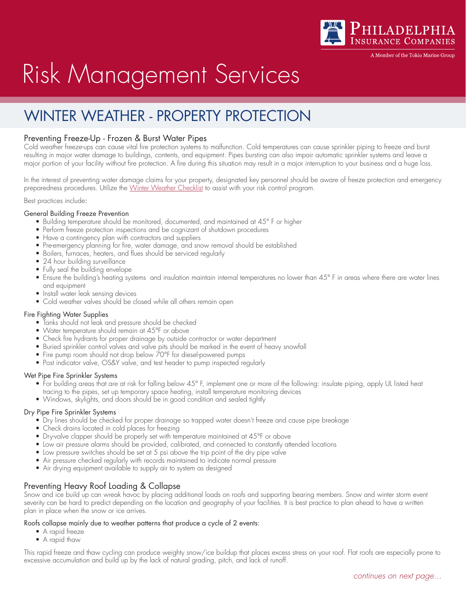

A Member of the Tokio Marine Grour

# Risk Management Services

# WINTER WEATHER - PROPERTY PROTECTION

# Preventing Freeze-Up - Frozen & Burst Water Pipes

Cold weather freeze-ups can cause vital fire protection systems to malfunction. Cold temperatures can cause sprinkler piping to freeze and burst resulting in major water damage to buildings, contents, and equipment. Pipes bursting can also impair automatic sprinkler systems and leave a major portion of your facility without fire protection. A fire during this situation may result in a major interruption to your business and a huge loss.

In the interest of preventing water damage claims for your property, designated key personnel should be aware of freeze protection and emergency preparedness procedures. Utilize the [Winter Weather Checklist](https://www.phly.com/Files/WinterWeatherChecklist201631-7107.pdf) to assist with your risk control program.

Best practices include:

### General Building Freeze Prevention

- Building temperature should be monitored, documented, and maintained at 45° F or higher
- Perform freeze protection inspections and be cognizant of shutdown procedures
- Have a contingency plan with contractors and suppliers
- Pre-emergency planning for fire, water damage, and snow removal should be established
- Boilers, furnaces, heaters, and flues should be serviced regularly
- 24 hour building surveillance
- Fully seal the building envelope
- Ensure the building's heating systems and insulation maintain internal temperatures no lower than 45° F in areas where there are water lines and equipment
- Install water leak sensing devices
- Cold weather valves should be closed while all others remain open

### Fire Fighting Water Supplies

- Tanks should not leak and pressure should be checked
- Water temperature should remain at 45°F or above
- Check fire hydrants for proper drainage by outside contractor or water department
- Buried sprinkler control valves and valve pits should be marked in the event of heavy snowfall
- Fire pump room should not drop below 70°F for diesel-powered pumps
- Post indicator valve, OS&Y valve, and test header to pump inspected regularly

### Wet Pipe Fire Sprinkler Systems

- For building areas that are at risk for falling below 45° F, implement one or more of the following: insulate piping, apply UL listed heat
	- tracing to the pipes, set up temporary space heating, install temperature monitoring devices
- Windows, skylights, and doors should be in good condition and sealed tightly

### Dry Pipe Fire Sprinkler Systems

- Dry lines should be checked for proper drainage so trapped water doesn't freeze and cause pipe breakage
- Check drains located in cold places for freezing
- Dry-valve clapper should be properly set with temperature maintained at 45°F or above
- Low air pressure alarms should be provided, calibrated, and connected to constantly attended locations
- Low pressure switches should be set at 5 psi above the trip point of the dry pipe valve
- Air pressure checked regularly with records maintained to indicate normal pressure
- Air drying equipment available to supply air to system as designed

## Preventing Heavy Roof Loading & Collapse

Snow and ice build up can wreak havoc by placing additional loads on roofs and supporting bearing members. Snow and winter storm event severity can be hard to predict depending on the location and geography of your facilities. It is best practice to plan ahead to have a written plan in place when the snow or ice arrives.

### Roofs collapse mainly due to weather patterns that produce a cycle of 2 events:

- A rapid freeze
- A rapid thaw

This rapid freeze and thaw cycling can produce weighty snow/ice buildup that places excess stress on your roof. Flat roofs are especially prone to excessive accumulation and build up by the lack of natural grading, pitch, and lack of runoff.